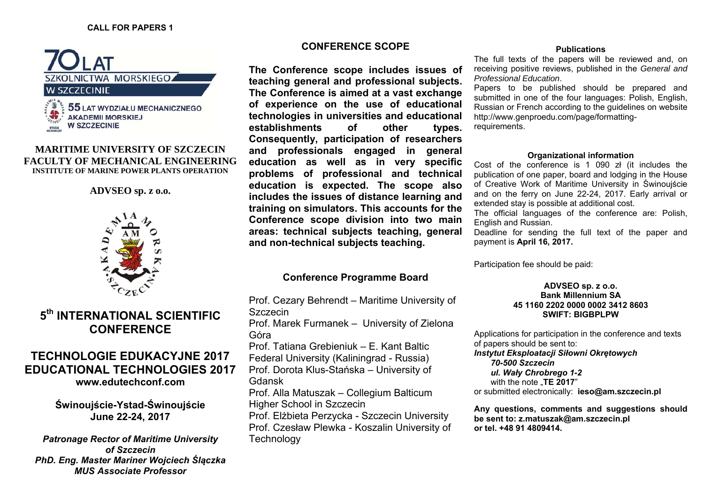

### **MARITIME UNIVERSITY OF SZCZECIN FACULTY OF MECHANICAL ENGINEERING INSTITUTE OF MARINE POWER PLANTS OPERATION**

# **ADVSEO sp. z o.o.**



# **5th INTERNATIONAL SCIENTIFIC CONFERENCE**

# **TECHNOLOGIE EDUKACYJNE 2017 EDUCATIONAL TECHNOLOGIES 2017 [www.edutechconf.com](http://edutechconf.com/)**

**Świnouj ście-Ystad-Świnouj ście June 22-24, 2017** 

*Patronage Rector of Maritime University of Szczecin PhD. Eng. Master Mariner Wojciech Ślączka MUS Associate Professor* 

# **CONFERENCE SCOPE**

**The Conference scope includes issues of teaching general and professional subjects. The Conference is aimed at a vast exchange of experience on the use of educational technologies in universities and educational establishments of other types. Consequently, participation of researchers and professionals engaged in general education as well as in very specific problems of professional and technical education is expected. The scope also includes the issues of distance learning and training on simulators. This accounts for the Conference scope division into two main areas: technical subjects teaching, general and non-technical subjects teaching.** 

# **Conference Programme Board**

Prof. Cezary Behrendt – Maritime University of Szczecin Prof. Marek Furmanek – University of Zielona Góra Prof. Tatiana Grebieniuk – E. Kant Baltic Federal University (Kaliningrad - Russia) Prof. Dorota Klus-Sta ńska – University of Gdansk Prof. Alla Matuszak – Collegium Balticum Higher School in Szczecin Prof. El żbieta Perzycka - Szczecin University Prof. Czesław Plewka - Koszalin University of **Technology** 

#### **Publications**

The full texts of the papers will be reviewed and, on receiving positive reviews, published in the *General and Professional Education*.

Papers to be published should be prepared and submitted in one of the four languages: Polish, English, Russian or French according to the guidelines on website [http://www.genproedu.com/page/formatting](http://www.genproedu.com/page/formatting-requirements)[requirements](http://www.genproedu.com/page/formatting-requirements).

#### **Organizational information**

Cost of the conference is 1 090 zł (it includes the publication of one paper, board and lodging in the House of Creative Work of Maritime University in Świnoujście and on the ferry on June 22-24, 2017. Early arrival or extended stay is possible at additional cost.

The official languages of the conference are: Polish, English and Russian.

Deadline for sending the full text of the paper and payment is **April 16, 2017.** 

Participation fee should be paid:

#### **ADVSEO sp. z o.o. Bank Millennium SA 45 1160 2202 0000 0002 3412 8603 SWIFT: BIGBPLPW**

Applications for participation in the conference and texts of papers should be sent to: *Instytut Eksploatacji Siłowni Okrętowych 70-500 Szczecin ul. Wały Chrobrego 1-2*  with the note **TE 2017**" or submitted electronically: **[ieso@am.szczecin.pl](mailto:ieso@am.szczecin.pl)** 

**Any questions, comments and suggestions should be sent to: [z.matuszak@am.szczecin.pl](mailto:z.matuszak@am.szczecin.pl)  or tel. +48 91 4809414.**